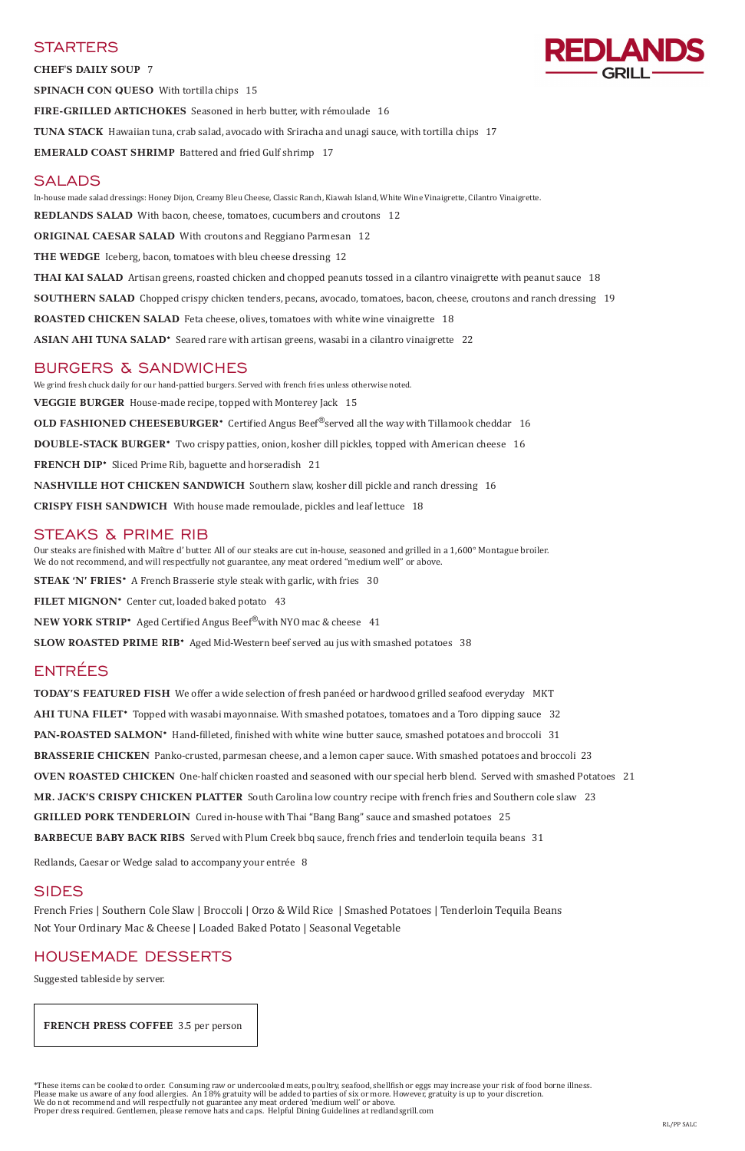### **STARTERS**

**CHEF'S DAILY SOUP** 7

**SPINACH CON QUESO** With tortilla chips 15

**FIRE-GRILLED ARTICHOKES** Seasoned in herb butter, with rémoulade 16

**TUNA STACK** Hawaiian tuna, crab salad, avocado with Sriracha and unagi sauce, with tortilla chips 17

**EMERALD COAST SHRIMP** Battered and fried Gulf shrimp 17

## SALADS

In-house made salad dressings: Honey Dijon, Creamy Bleu Cheese, Classic Ranch, Kiawah Island, White Wine Vinaigrette, Cilantro Vinaigrette. **REDLANDS SALAD** With bacon, cheese, tomatoes, cucumbers and croutons 12 **ORIGINAL CAESAR SALAD** With croutons and Reggiano Parmesan 12 **THE WEDGE** Iceberg, bacon, tomatoes with bleu cheese dressing 12 **THAI KAI SALAD** Artisan greens, roasted chicken and chopped peanuts tossed in a cilantro vinaigrette with peanut sauce 18 **SOUTHERN SALAD** Chopped crispy chicken tenders, pecans, avocado, tomatoes, bacon, cheese, croutons and ranch dressing 19 **ROASTED CHICKEN SALAD** Feta cheese, olives, tomatoes with white wine vinaigrette 18 **ASIAN AHI TUNA SALAD\*** Seared rare with artisan greens, wasabi in a cilantro vinaigrette 22

### BURGERS & SANDWICHES

We grind fresh chuck daily for our hand-pattied burgers. Served with french fries unless otherwise noted. **VEGGIE BURGER** House-made recipe, topped with Monterey Jack 15 **OLD FASHIONED CHEESEBURGER<sup>\*</sup>** Certified Angus Beef<sup>®</sup>served all the way with Tillamook cheddar 16 **DOUBLE-STACK BURGER\*** Two crispy patties, onion, kosher dill pickles, topped with American cheese 16 **FRENCH DIP\*** Sliced Prime Rib, baguette and horseradish 21 **NASHVILLE HOT CHICKEN SANDWICH** Southern slaw, kosher dill pickle and ranch dressing 16 **CRISPY FISH SANDWICH** With house made remoulade, pickles and leaf lettuce 18

## STEAKS & PRIME RIB

Our steaks are finished with Maître d' butter. All of our steaks are cut in-house, seasoned and grilled in a 1,600° Montague broiler. We do not recommend, and will respectfully not guarantee, any meat ordered "medium well" or above.

**STEAK 'N' FRIES\*** A French Brasserie style steak with garlic, with fries 30

**FILET MIGNON\*** Center cut, loaded baked potato 43

**NEW YORK STRIP\*** Aged Certified Angus Beef<sup>®</sup>with NYO mac & cheese 41

**SLOW ROASTED PRIME RIB\*** Aged Mid-Western beef served au jus with smashed potatoes 38

# ENTRÉES

**TODAY'S FEATURED FISH** We offer a wide selection of fresh panéed or hardwood grilled seafood everyday MKT

**AHI TUNA FILET\*** Topped with wasabi mayonnaise. With smashed potatoes, tomatoes and a Toro dipping sauce 32

**PAN-ROASTED SALMON\*** Hand-filleted, finished with white wine butter sauce, smashed potatoes and broccoli 31

**BRASSERIE CHICKEN** Panko-crusted, parmesan cheese, and a lemon caper sauce. With smashed potatoes and broccoli 23

**OVEN ROASTED CHICKEN** One-half chicken roasted and seasoned with our special herb blend. Served with smashed Potatoes 21

**MR. JACK'S CRISPY CHICKEN PLATTER** South Carolina low country recipe with french fries and Southern cole slaw 23

**GRILLED PORK TENDERLOIN** Cured in-house with Thai "Bang Bang" sauce and smashed potatoes 25

**BARBECUE BABY BACK RIBS** Served with Plum Creek bbq sauce, french fries and tenderloin tequila beans 31



### SIDES

French Fries | Southern Cole Slaw | Broccoli | Orzo & Wild Rice | Smashed Potatoes | Tenderloin Tequila Beans Not Your Ordinary Mac & Cheese | Loaded Baked Potato | Seasonal Vegetable

### HOUSEMADE DESSERTS

Suggested tableside by server.

\*These items can be cooked to order. Consuming raw or undercooked meats, poultry, seafood, shellfish or eggs may increase your risk of food borne illness. Please make us aware of any food allergies. An 18% gratuity will be added to parties of six or more. However, gratuity is up to your discretion. We do not recommend and will respectfully not guarantee any meat ordered 'medium well' or above. Proper dress required. Gentlemen, please remove hats and caps. Helpful Dining Guidelines at redlandsgrill.com

 **FRENCH PRESS COFFEE** 3.5 per person